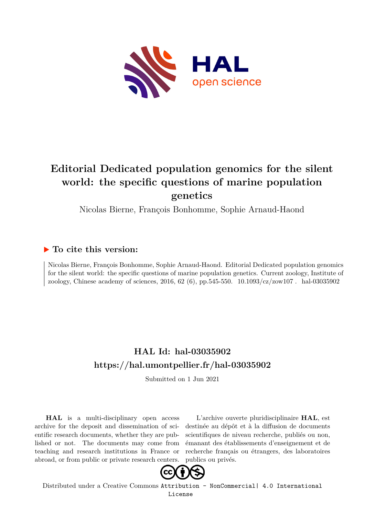

# **Editorial Dedicated population genomics for the silent world: the specific questions of marine population genetics**

Nicolas Bierne, François Bonhomme, Sophie Arnaud-Haond

## **To cite this version:**

Nicolas Bierne, François Bonhomme, Sophie Arnaud-Haond. Editorial Dedicated population genomics for the silent world: the specific questions of marine population genetics. Current zoology, Institute of zoology, Chinese academy of sciences, 2016, 62 (6), pp.545-550.  $10.1093/cz/z_0 \text{w}107$ . hal-03035902

## **HAL Id: hal-03035902 <https://hal.umontpellier.fr/hal-03035902>**

Submitted on 1 Jun 2021

**HAL** is a multi-disciplinary open access archive for the deposit and dissemination of scientific research documents, whether they are published or not. The documents may come from teaching and research institutions in France or abroad, or from public or private research centers.

L'archive ouverte pluridisciplinaire **HAL**, est destinée au dépôt et à la diffusion de documents scientifiques de niveau recherche, publiés ou non, émanant des établissements d'enseignement et de recherche français ou étrangers, des laboratoires publics ou privés.



Distributed under a Creative Commons [Attribution - NonCommercial| 4.0 International](http://creativecommons.org/licenses/by-nc/4.0/) [License](http://creativecommons.org/licenses/by-nc/4.0/)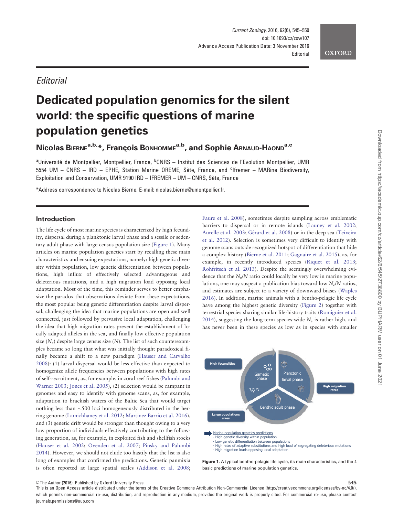### *<u>Editorial</u>*

# Dedicated population genomics for the silent world: the specific questions of marine population genetics

Nicolas BIERNE<sup>a,b,\*</sup>, François BONHOMME<sup>a,b</sup>, and Sophie ARNAUD-HAOND<sup>a,c</sup>

<sup>a</sup>Université de Montpellier, Montpellier, France, <sup>b</sup>CNRS – Institut des Sciences de l'Evolution Montpellier, UMR 5554 UM - CNRS - IRD - EPHE, Station Marine OREME, Sète, France, and <sup>c</sup>lfremer - MARine Biodiversity, Exploitation and Conservation, UMR 9190 IRD - IFREMER - UM - CNRS, Sète, France

\*Address correspondence to Nicolas Bierne. E-mail: nicolas.bierne@umontpellier.fr.

#### Introduction

The life cycle of most marine species is characterized by high fecundity, dispersal during a planktonic larval phase and a sessile or sedentary adult phase with large census population size (Figure 1). Many articles on marine population genetics start by recalling these main characteristics and ensuing expectations, namely: high genetic diversity within population, low genetic differentiation between populations, high influx of effectively selected advantageous and deleterious mutations, and a high migration load opposing local adaptation. Most of the time, this reminder serves to better emphasize the paradox that observations deviate from these expectations, the most popular being genetic differentiation despite larval dispersal, challenging the idea that marine populations are open and well connected, just followed by pervasive local adaptation, challenging the idea that high migration rates prevent the establishment of locally adapted alleles in the sea, and finally low effective population size  $(N_e)$  despite large census size  $(N)$ . The list of such counterexamples became so long that what was initially thought paradoxical finally became a shift to a new paradigm (Hauser and Carvalho 2008): (1) larval dispersal would be less effective than expected to homogenize allele frequencies between populations with high rates of self-recruitment, as, for example, in coral reef fishes (Palumbi and Warner 2003; Jones et al. 2005), (2) selection would be rampant in genomes and easy to identify with genome scans, as, for example, adaptation to brackish waters of the Baltic Sea that would target nothing less than  $\sim$ 500 loci homogeneously distributed in the herring genome (Lamichhaney et al. 2012; Martinez Barrio et al. 2016), and (3) genetic drift would be stronger than thought owing to a very low proportion of individuals effectively contributing to the following generation, as, for example, in exploited fish and shellfish stocks (Hauser et al. 2002; Ovenden et al. 2007; Pinsky and Palumbi 2014). However, we should not elude too hastily that the list is also long of examples that confirmed the predictions. Genetic panmixia is often reported at large spatial scales (Addison et al. 2008;

Faure et al. 2008), sometimes despite sampling across emblematic barriers to dispersal or in remote islands (Launey et al. 2002; Aurelle et al. 2003; Gérard et al. 2008) or in the deep sea (Teixeira et al. 2012). Selection is sometimes very difficult to identify with genome scans outside recognized hotspot of differentiation that hide a complex history (Bierne et al. 2011; Gagnaire et al. 2015), as, for example, in recently introduced species (Riquet et al. 2013; Rohfritsch et al. 2013). Despite the seemingly overwhelming evidence that the  $N_e/N$  ratio could locally be very low in marine populations, one may suspect a publication bias toward low  $N_e/N$  ratios, and estimates are subject to a variety of downward biases (Waples 2016). In addition, marine animals with a bentho-pelagic life cycle have among the highest genetic diversity (Figure 2) together with terrestrial species sharing similar life-history traits (Romiguier et al. 2014), suggesting the long-term species-wide  $N_e$  is rather high, and has never been in these species as low as in species with smaller



Figure 1. A typical bentho-pelagic life cycle, its main characteristics, and the 4 basic predictions of marine population genetics.

 $\heartsuit$ The Author (2016). Published by Oxford University Press.  $545$ 

This is an Open Access article distributed under the terms of the Creative Commons Attribution Non-Commercial License (http://creativecommons.org/licenses/by-nc/4.0/), which permits non-commercial re-use, distribution, and reproduction in any medium, provided the original work is properly cited. For commercial re-use, please contact journals.permissions@oup.com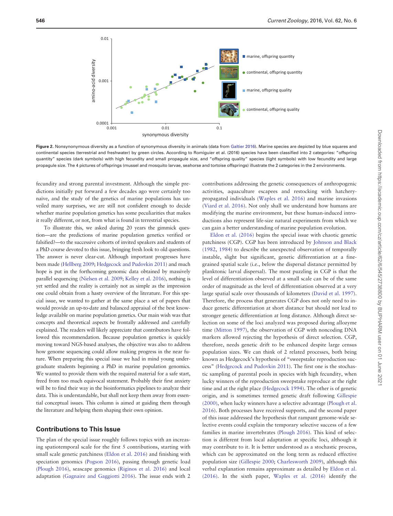

Figure 2. Nonsynonymous diversity as a function of synonymous diversity in animals (data from Galtier 2016). Marine species are depicted by blue squares and continental species (terrestrial and freshwater) by green circles. According to Romiguier et al. (2016) species have been classified into 2 categories: "offspring quantity" species (dark symbols) with high fecundity and small propagule size, and "offspring quality" species (light symbols) with low fecundity and large propagule size. The 4 pictures of offsprings (mussel and mosquito larvae, seahorse and tortoise offsprings) illustrate the 2 categories in the 2 environments.

fecundity and strong parental investment. Although the simple predictions initially put forward a few decades ago were certainly too naïve, and the study of the genetics of marine populations has unveiled many surprises, we are still not confident enough to decide whether marine population genetics has some peculiarities that makes it really different, or not, from what is found in terrestrial species.

To illustrate this, we asked during 20 years the gimmick question—are the predictions of marine population genetics verified or falsified?—to the successive cohorts of invited speakers and students of a PhD course devoted to this issue, bringing fresh look to old questions. The answer is never clear-cut. Although important progresses have been made (Hellberg 2009; Hedgecock and Pudovkin 2011) and much hope is put in the forthcoming genomic data obtained by massively parallel sequencing (Nielsen et al. 2009; Kelley et al. 2016), nothing is yet settled and the reality is certainly not as simple as the impression one could obtain from a hasty overview of the literature. For this special issue, we wanted to gather at the same place a set of papers that would provide an up-to-date and balanced appraisal of the best knowledge available on marine population genetics. Our main wish was that concepts and theoretical aspects be frontally addressed and carefully explained. The readers will likely appreciate that contributors have followed this recommendation. Because population genetics is quickly moving toward NGS-based analyses, the objective was also to address how genome sequencing could allow making progress in the near future. When preparing this special issue we had in mind young undergraduate students beginning a PhD in marine population genomics. We wanted to provide them with the required material for a safe start, freed from too much equivocal statement. Probably their first anxiety will be to find their way in the bioinformatics pipelines to analyze their data. This is understandable, but shall not keep them away from essential conceptual issues. This column is aimed at guiding them through the literature and helping them shaping their own opinion.

#### Contributions to This Issue

The plan of the special issue roughly follows topics with an increasing spatiotemporal scale for the first 5 contributions, starting with small scale genetic patchiness (Eldon et al. 2016) and finishing with speciation genomics (Pogson 2016), passing through genetic load (Plough 2016), seascape genomics (Riginos et al. 2016) and local adaptation (Gagnaire and Gaggiotti 2016). The issue ends with 2 contributions addressing the genetic consequences of anthropogenic activities, aquaculture escapees and restocking with hatcherypropagated individuals (Waples et al. 2016) and marine invasions (Viard et al. 2016). Not only shall we understand how humans are modifying the marine environment, but these human-induced introductions also represent life-size natural experiments from which we can gain a better understanding of marine population evolution.

Eldon et al. (2016) begins the special issue with chaotic genetic patchiness (CGP). CGP has been introduced by Johnson and Black (1982, 1984) to describe the unexpected observation of temporally instable, slight but significant, genetic differentiation at a finegrained spatial scale (i.e., below the dispersal distance permitted by planktonic larval dispersal). The most puzzling in CGP is that the level of differentiation observed at a small scale can be of the same order of magnitude as the level of differentiation observed at a very large spatial scale over thousands of kilometers (David et al. 1997). Therefore, the process that generates CGP does not only need to induce genetic differentiation at short distance but should not lead to stronger genetic differentiation at long distance. Although direct selection on some of the loci analyzed was proposed during allozyme time (Mitton 1997), the observation of CGP with noncoding DNA markers allowed rejecting the hypothesis of direct selection. CGP, therefore, needs genetic drift to be enhanced despite large census population sizes. We can think of 2 related processes, both being known as Hedgecock's hypothesis of "sweepstake reproduction success" (Hedgecock and Pudovkin 2011). The first one is the stochastic sampling of parental pools in species with high fecundity, when lucky winners of the reproduction sweepstake reproduce at the right time and at the right place (Hedgecock 1994). The other is of genetic origin, and is sometimes termed genetic draft following Gillespie (2000), when lucky winners have a selective advantage (Plough et al. 2016). Both processes have received supports, and the second paper of this issue addressed the hypothesis that rampant genome-wide selective events could explain the temporary selective success of a few families in marine invertebrates (Plough 2016). This kind of selection is different from local adaptation at specific loci, although it may contribute to it. It is better understood as a stochastic process, which can be approximated on the long term as reduced effective population size (Gillespie 2000; Charlesworth 2009), although this verbal explanation remains approximate as detailed by Eldon et al. (2016). In the sixth paper, Waples et al. (2016) identify the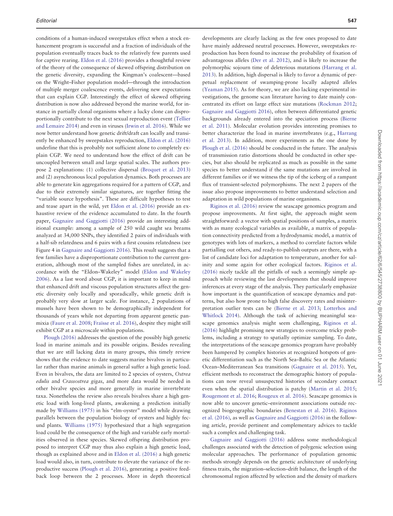conditions of a human-induced sweepstakes effect when a stock enhancement program is successful and a fraction of individuals of the population eventually traces back to the relatively few parents used for captive rearing. Eldon et al. (2016) provides a thoughtful review of the theory of the consequence of skewed offspring distribution on the genetic diversity, expanding the Kingman's coalescent—based on the Wright–Fisher population model—through the introduction of multiple merger coalescence events, delivering new expectations that can explain CGP. Interestingly the effect of skewed offspring distribution is now also addressed beyond the marine world, for instance in partially clonal organisms where a lucky clone can disproportionally contribute to the next sexual reproduction event (Tellier and Lemaire 2014) and even in viruses (Irwin et al. 2016). While we now better understand how genetic drift/draft can locally and transiently be enhanced by sweepstakes reproduction, Eldon et al. (2016) underline that this is probably not sufficient alone to completely explain CGP. We need to understand how the effect of drift can be uncoupled between small and large spatial scales. The authors propose 2 explanations: (1) collective dispersal (Broquet et al. 2013) and (2) asynchronous local population dynamics. Both processes are able to generate kin aggregations required for a pattern of CGP, and due to their extremely similar signatures, are together fitting the "variable source hypothesis". These are difficult hypotheses to test and tease apart in the wild, yet Eldon et al. (2016) provide an exhaustive review of the evidence accumulated to date. In the fourth paper, Gagnaire and Gaggiotti (2016) provide an interesting additional example: among a sample of 250 wild caught sea breams analyzed at 34,000 SNPs, they identified 2 pairs of individuals with a half-sib relatedness and 6 pairs with a first cousins relatedness (see Figure 4 in Gagnaire and Gaggiotti 2016). This result suggests that a few families have a disproportionate contribution to the current generation, although most of the sampled fishes are unrelated, in accordance with the "Eldon–Wakeley" model (Eldon and Wakeley 2006). As a last word about CGP, it is important to keep in mind that enhanced drift and viscous population structures affect the genetic diversity only locally and sporadically, while genetic drift is probably very slow at larger scale. For instance, 2 populations of mussels have been shown to be demographically independent for thousands of years while not departing from apparent genetic panmixia (Faure et al. 2008; Fraïsse et al. 2016), despite they might still exhibit CGP at a microscale within populations.

Plough (2016) addresses the question of the possibly high genetic load in marine animals and its possible origins. Besides revealing that we are still lacking data in many groups, this timely review shows that the evidence to date suggests marine bivalves in particular rather than marine animals in general suffer a high genetic load. Even in bivalves, the data are limited to 2 species of oysters, Ostrea edulis and Crassostrea gigas, and more data would be needed in other bivalve species and more generally in marine invertebrate taxa. Nonetheless the review also reveals bivalves share a high genetic load with long-lived plants, awakening a prediction initially made by Williams (1975) in his "elm-oyster" model while drawing parallels between the population biology of oysters and highly fecund plants. Williams (1975) hypothesized that a high segregation load could be the consequence of the high and variable early mortalities observed in these species. Skewed offspring distribution proposed to interpret CGP may thus also explain a high genetic load, though as explained above and in Eldon et al. (2016) a high genetic load would also, in turn, contribute to elevate the variance of the reproductive success (Plough et al. 2016), generating a positive feedback loop between the 2 processes. More in depth theoretical

developments are clearly lacking as the few ones proposed to date have mainly addressed neutral processes. However, sweepstakes reproduction has been found to increase the probability of fixation of advantageous alleles (Der et al. 2012), and is likely to increase the polymorphic sojourn time of deleterious mutations (Harrang et al. 2013). In addition, high dispersal is likely to favor a dynamic of perpetual replacement of swamping-prone locally adapted alleles (Yeaman 2015). As for theory, we are also lacking experimental investigations, the genome scan literature having to date mainly concentrated its effort on large effect size mutations (Rockman 2012; Gagnaire and Gaggiotti 2016), often between differentiated genetic backgrounds already entered into the speciation process (Bierne et al. 2011). Molecular evolution provides interesting promises to better characterize the load in marine invertebrates (e.g., Harrang et al. 2013). In addition, more experiments as the one done by Plough et al. (2016) should be conducted in the future. The analysis of transmission ratio distortions should be conducted in other species, but also should be replicated as much as possible in the same species to better understand if the same mutations are involved in different families or if we witness the tip of the iceberg of a rampant flux of transient-selected polymorphisms. The next 2 papers of the issue also propose improvements to better understand selection and adaptation in wild populations of marine organisms.

Riginos et al. (2016) review the seascape genomics program and propose improvements. At first sight, the approach might seem straightforward: a vector with spatial positions of samples, a matrix with as many ecological variables as available, a matrix of population connectivity predicted from a hydrodynamic model, a matrix of genotypes with lots of markers, a method to correlate factors while partialling out others, and ready-to-publish outputs are there, with a list of candidate loci for adaptation to temperature, another for salinity and some again for other ecological factors. Riginos et al. (2016) nicely tackle all the pitfalls of such a seemingly simple approach while reviewing the last developments that should improve inferences at every stage of the analysis. They particularly emphasize how important is the quantification of seascape dynamics and patterns, but also how prone to high false discovery rates and misinterpretation outlier tests can be (Bierne et al. 2013; Lotterhos and Whitlock 2014). Although the task of achieving meaningful seascape genomics analysis might seem challenging, Riginos et al. (2016) highlight promising new strategies to overcome tricky problems, including a strategy to spatially optimize sampling. To date, the interpretations of the seascape genomics program have probably been hampered by complex histories at recognized hotspots of genetic differentiation such as the North Sea–Baltic Sea or the Atlantic Ocean–Mediterranean Sea transitions (Gagnaire et al. 2015). Yet, efficient methods to reconstruct the demographic history of populations can now reveal unsuspected histories of secondary contact even when the spatial distribution is patchy (Martin et al. 2015; Rougemont et al. 2016; Rougeux et al. 2016). Seascape genomics is now able to uncover genetic–environment associations outside recognized biogeographic boundaries (Benestan et al. 2016). Riginos et al. (2016), as well as Gagnaire and Gaggiotti (2016) in the following article, provide pertinent and complementary advices to tackle such a complex and challenging task.

Gagnaire and Gaggiotti (2016) address some methodological challenges associated with the detection of polygenic selection using molecular approaches. The performance of population genomic methods strongly depends on the genetic architecture of underlying fitness traits, the migration–selection–drift balance, the length of the chromosomal region affected by selection and the density of markers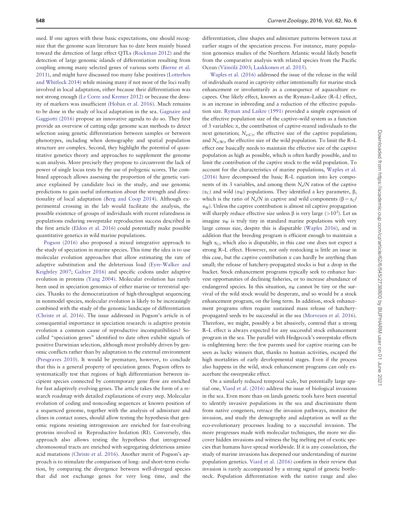used. If one agrees with these basic expectations, one should recognize that the genome scan literature has to date been mainly biased toward the detection of large effect QTLs (Rockman 2012) and the detection of large genomic islands of differentiation resulting from coupling among many selected genes of various sorts (Bierne et al. 2011), and might have discussed too many false positives (Lotterhos and Whitlock 2014) while missing many if not most of the loci really involved in local adaptation, either because their differentiation was not strong enough (Le Corre and Kremer 2012) or because the density of markers was insufficient (Hoban et al. 2016). Much remains to be done in the study of local adaptation in the sea. Gagnaire and Gaggiotti (2016) propose an innovative agenda to do so. They first provide an overview of cutting edge genome scan methods to detect selection using genetic differentiation between samples or between phenotypes, including when demography and spatial population structure are complex. Second, they highlight the potential of quantitative genetics theory and approaches to supplement the genome scan analysis. More precisely they propose to circumvent the lack of power of single locus tests by the use of polygenic scores. The combined approach allows assessing the proportion of the genetic variance explained by candidate loci in the study, and use genomic predictions to gain useful information about the strength and directionality of local adaptation (Berg and Coop 2014). Although experimental crossing in the lab would facilitate the analysis, the possible existence of groups of individuals with recent relatedness in populations enduring sweepstake reproduction success described in the first article (Eldon et al. 2016) could potentially make possible quantitative genetics in wild marine populations.

Pogson (2016) also proposed a mixed integrative approach to the study of speciation in marine species. This time the idea is to use molecular evolution approaches that allow estimating the rate of adaptive substitution and the deleterious load (Eyre-Walker and Keightley 2007; Galtier 2016) and specific codons under adaptive evolution in proteins (Yang 2004). Molecular evolution has rarely been used in speciation genomics of either marine or terrestrial species. Thanks to the democratization of high-throughput sequencing in nonmodel species, molecular evolution is likely to be increasingly combined with the study of the genomic landscape of differentiation (Christe et al. 2016). The issue addressed in Pogson's article is of consequential importance in speciation research: is adaptive protein evolution a common cause of reproductive incompatibilities? Socalled "speciation genes" identified to date often exhibit signals of positive Darwinian selection, although most probably driven by genomic conflicts rather than by adaptation to the external environment (Presgraves 2010). It would be premature, however, to conclude that this is a general property of speciation genes. Pogson offers to systematically test that regions of high differentiation between incipient species connected by contemporary gene flow are enriched for fast adaptively evolving genes. The article takes the form of a research roadmap with detailed explanations of every step. Molecular evolution of coding and noncoding sequences at known position of a sequenced genome, together with the analysis of admixture and clines in contact zones, should allow testing the hypothesis that genomic regions resisting introgression are enriched for fast-evolving proteins involved in Reproductive Isolation (RI). Conversely, this approach also allows testing the hypothesis that introgressed chromosomal tracts are enriched with segregating deleterious amino acid mutations (Christe et al. 2016). Another merit of Pogson's approach is to stimulate the comparison of long- and short-term evolution, by comparing the divergence between well-diverged species that did not exchange genes for very long time, and the

differentiation, cline shapes and admixture patterns between taxa at earlier stages of the speciation process. For instance, many population genomics studies of the Northern Atlantic would likely benefit from the comparative analysis with related species from the Pacific Ocean (Väinölä 2003; Laakkonen et al. 2015).

Waples et al. (2016) addressed the issue of the release in the wild of individuals reared in captivity either intentionally for marine stock enhancement or involuntarily as a consequence of aquaculture escapees. One likely effect, known as the Ryman–Laikre (R–L) effect, is an increase in inbreeding and a reduction of the effective population size. Ryman and Laikre (1991) provided a simple expression of the effective population size of the captive–wild system as a function of 3 variables: x, the contribution of captive-reared individuals to the next generation;  $N_{e(C)}$ , the effective size of the captive population; and  $N_{e(W)}$ , the effective size of the wild population. To limit the R–L effect one basically needs to maintain the effective size of the captive population as high as possible, which is often hardly possible, and to limit the contribution of the captive stock to the wild population. To account for the characteristics of marine populations, Waples et al. (2016) have decomposed the basic R–L equation into key components of its 3 variables, and among them  $N_e/N$  ratios of the captive ( $α$ <sub>C</sub>) and wild ( $α$ <sub>W</sub>) populations. They identified a key parameter, β, which is the ratio of N<sub>e</sub>/N in captive and wild components ( $\beta = \alpha_C$ )  $\alpha_{\rm W}$ ). Unless the captive contribution is almost nil captive propagation will sharply reduce effective size unless  $\beta$  is very large (>10<sup>3</sup>). Let us imagine  $\alpha_W$  is truly tiny in standard marine populations with very large census size, despite this is disputable (Waples 2016), and in addition that the breeding program is efficient enough to maintain a high  $\alpha_C$ , which also is disputable, in this case one does not expect a strong R–L effect. However, not only restocking is little an issue in this case, but the captive contribution  $x$  can hardly be anything than small; the release of hatchery-propagated stocks is but a drop in the bucket. Stock enhancement programs typically seek to enhance harvest opportunities of declining fisheries, or to increase abundance of endangered species. In this situation,  $\alpha_{\rm W}$  cannot be tiny or the survival of the wild stock would be desperate, and so would be a stock enhancement program, on the long term. In addition, stock enhancement programs often require sustained mass release of hatcherypropagated seeds to be successful in the sea (Morvezen et al. 2016). Therefore, we might, possibly a bit abusively, contend that a strong R–L effect is always expected for any successful stock enhancement program in the sea. The parallel with Hedgecock's sweepstake effects is enlightening here: the few parents used for captive rearing can be seen as lucky winners that, thanks to human activities, escaped the high mortalities of early developmental stages. Even if the process also happens in the wild, stock enhancement programs can only exacerbate the sweepstake effect.

On a similarly reduced temporal scale, but potentially large spatial one, Viard et al. (2016) address the issue of biological invasions in the sea. Even more than on lands genetic tools have been essential to identify invasive populations in the sea and discriminate them from native congeners, retrace the invasion pathways, monitor the invasion, and study the demography and adaptation as well as the eco-evolutionary processes leading to a successful invasion. The more progresses made with molecular techniques, the more we discover hidden invasions and witness the big melting pot of exotic species that humans have spread worldwide. If it is any consolation, the study of marine invasions has deepened our understanding of marine population genetics. Viard et al. (2016) confirm in their review that invasion is rarely accompanied by a strong signal of genetic bottleneck. Population differentiation with the native range and also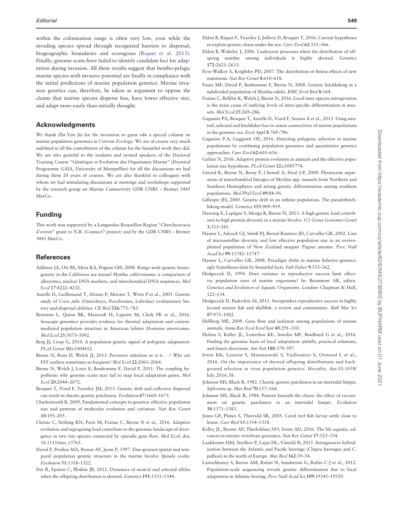within the colonization range is often very low, even while the invading species spread through recognized barriers to dispersal, biogeographic boundaries and ecoregions (Riquet et al. 2013). Finally, genome scans have failed to identify candidate loci for adaptation during invasion. All these results suggest that bentho-pelagic marine species with invasive potential are finally in compliance with the initial predictions of marine population genetics. Marine invasion genetics can, therefore, be taken as argument to oppose the claims that marine species disperse less, have lower effective size, and adapt more easily than initially thought.

#### Acknowledgments

We thank Zhi-Yun Jia for the invitation to guest edit a special column on marine population genomics in Current Zoology. We are of course very much indebted to all the contributors of the column for the beautiful work they did. We are also grateful to the students and invited speakers of the Doctoral Training Course "Génétique et Evolution des Organismes Marins" (Doctoral Programme GAIA, University of Montpellier) for all the discussions we had during these 20 years of courses. We are also thankful to colleagues with whom we had stimulating discussions at meetings and workshops supported by the research group on Marine Connectivity GDR CNRS – Ifremer 3445 MarCo.

#### Funding

This work was supported by a Languedoc-Roussillon Region "Chercheur(se)s d'avenir" grant to N.B. (Connect7 project) and by the GDR CNRS – Ifremer 3445 MarCo.

#### References

- Addison JA, Ort BS, Mesa KA, Pogson GH, 2008. Range-wide genetic homogeneity in the California sea mussel Mytilus californianus: a comparison of allozymes, nuclear DNA markers, and mitochondrial DNA sequences. Mol Ecol 17:4222–4232.
- Aurelle D, Guillemaud T, Afonso P, Morato T, Wirtz P et al., 2003. Genetic study of Coris julis (Osteichtyes, Perciformes, Labridae) evolutionary history and dispersal abilities. CR Biol 326:771–785.
- Benestan L, Quinn BK, Maaroufi H, Laporte M, Clark FK et al., 2016. Seascape genomics provides evidence for thermal adaptation and currentmediated population structure in American lobster Homarus americanus. Mol Ecol 25:5073–5092.
- Berg JJ, Coop G, 2014. A population genetic signal of polygenic adaptation. PLoS Genet 10:e1004412.
- Bierne N, Roze D, Welch JJ, 2013. Pervasive selection or is it... ? Why are FST outliers sometimes so frequent? Mol Ecol 22:2061–2064.
- Bierne N, Welch J, Loire E, Bonhomme F, David P, 2011. The coupling hypothesis: why genome scans may fail to map local adaptation genes. Mol Ecol 20:2044–2072.
- Broquet T, Viard F, Yearsley JM, 2013. Genetic drift and collective dispersal can result in chaotic genetic patchiness. Evolution 67:1660–1675.
- Charlesworth B, 2009. Fundamental concepts in genetics: effective population size and patterns of molecular evolution and variation. Nat Rev Genet 10:195–205.
- Christe C, Stölting KN, Paris M, Fraïsse C, Bierne N et al., 2016. Adaptive evolution and segregating load contribute to the genomic landscape of divergence in two tree species connected by episodic gene flow. Mol Ecol. doi: 10.1111/mec.13765.
- David P, Perdieu MA, Pernot AF, Jarne P, 1997. Fine-grained spatial and temporal population genetic structure in the marine bivalve Spisula ovalis. Evolution 51:1318–1322.
- Der R, Epstein C, Plotkin JB, 2012. Dynamics of neutral and selected alleles when the offspring distribution is skewed. Genetics 191:1331–1344.
- Eldon B, Riquet F, Yearsley J, Jollivet D, Broquet T, 2016. Current hypotheses to explain genetic chaos under the sea. Curr Zool 62:551–566.
- Eldon B, Wakeley J, 2006. Coalescent processes when the distribution of offspring number among individuals is highly skewed. Genetics 172:2621–2633.
- Eyre-Walker A, Keightley PD, 2007. The distribution of fitness effects of new mutations. Nat Rev Genet 8:610–618.
- Faure MF, David P, Bonhomme F, Bierne N, 2008. Genetic hitchhiking in a subdivided population of Mytilus edulis. BMC Evol Biol 8:164.
- Fraïsse C, Belkhir K, Welch J, Bierne N, 2016. Local inter-species introgression is the main cause of outlying levels of intra-specific differentiation in mussels. Mol Ecol 25:269–286.
- Gagnaire PA, Broquet T, Aurelle D, Viard F, Souissi A et al., 2015. Using neutral, selected and hitchhiker loci to assess connectivity of marine populations in the genomic era. Evol Appl 8:769–786.
- Gagnaire P-A, Gaggiotti OE, 2016. Detecting polygenic selection in marine populations by combining population genomics and quantitative genetics approaches. Curr Zool 62:603–616.
- Galtier N, 2016. Adaptive protein evolution in animals and the effective population size hypothesis. PLoS Genet 12:e1005774.
- Gérard K, Bierne N, Borsa P, Chenuil A, Féral J-P, 2008. Pleistocene separation of mitochondrial lineages of Mytilus spp. mussels from Northern and Southern Hemispheres and strong genetic differentiation among southern populations. Mol Phyl Evol 49:84–91.
- Gillespie JH, 2000. Genetic drift in an infinite population. The pseudohitchhiking model. Genetics 155:909–919.
- Harrang E, Lapègue S, Morga B, Bierne N, 2013. A high genetic load contributes to high protein diversity in a marine bivalve. G3 Genes Genomes Genet 3:333–341.
- Hauser L, Adcock GJ, Smith PJ, Bernal Ramírez JH, Carvalho GR, 2002. Loss of microsatellite diversity and low effective population size in an overexploited population of New Zealand snapper Pagrus auratus. Proc Natl Acad Sci 99:11742–11747.
- Hauser L, Carvalho GR, 2008. Paradigm shifts in marine fisheries genetics: ugly hypotheses slain by beautiful facts. Fish Fisher 9:333–362.
- Hedgecock D, 1994. Does variance in reproductive success limit effective population sizes of marine organisms? In: Beaumont AR, editor. Genetics and Evolution of Aquatic Organisms. London: Chapman & Hall, 122–134.
- Hedgecock D, Pudovkin AI, 2011. Sweepstakes reproductive success in highly fecund marine fish and shellfish: a review and commentary. Bull Mar Sci 87:971–1002.
- Hellberg ME, 2009. Gene flow and isolation among populations of marine animals. Annu Rev Ecol Evol Syst 40:291–310.
- Hoban S, Kelley JL, Lotterhos KE, Antolin MF, Bradburd G et al., 2016. Finding the genomic basis of local adaptation: pitfalls, practical solutions, and future directions. Am Nat 188:379–397.
- Irwin KK, Laurent S, Matuszewski S, Vuilleumier S, Ormond L et al., 2016. On the importance of skewed offspring distributions and background selection in virus population genetics. Heredity. doi:10.1038/ hdy.2016.58.
- Johnson MS, Black R, 1982. Chaotic genetic patchiness in an intertidal limpet, Siphonria sp. Mar Biol 70:157–164.
- Johnson MS, Black R, 1984. Pattern beneath the chaos: the effect of recruitment on genetic patchiness in an intertidal limpet. Evolution 38:1371–1383.
- Jones GP, Planes S, Thorrold SR, 2005. Coral reef fish larvae settle close to home. Curr Biol 15:1314–1318.
- Kelley JL, Brown AP, Therkildsen NO, Foote AD, 2016. The life aquatic: advances in marine vertebrate genomics. Nat Rev Genet 17:523–534.
- Laakkonen HM, Strelkov P, Lajus DL, Väinölä R, 2015. Introgressive hybridization between the Atlantic and Pacific herrings (Clupea harengus and C. pallasii) in the north of Europe. Mar Biol 162:39–54.
- Lamichhaney S, Barrio AM, Rafati N, Sundström G, Rubin C-J et al., 2012. Population-scale sequencing reveals genetic differentiation due to local adaptation in Atlantic herring. Proc Natl Acad Sci 109:19345–19350.